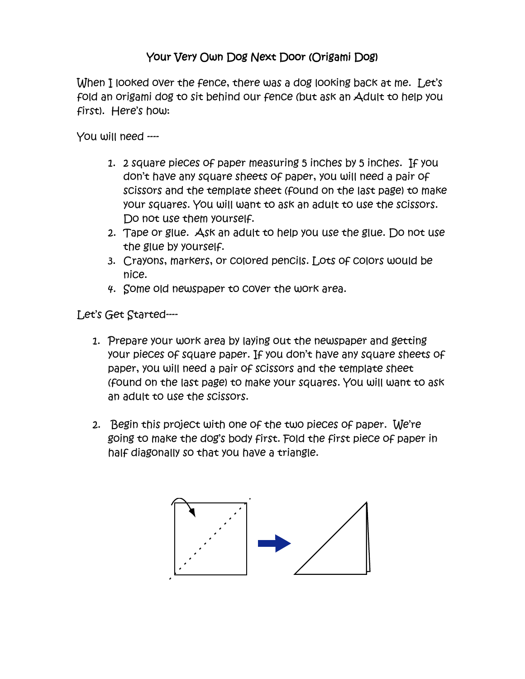## Your Very Own Dog Next Door (Origami Dog)

When I looked over the fence, there was a dog looking back at me. Let's fold an origami dog to sit behind our fence (but ask an Adult to help you first). Here's how:

You will need ----

- 1. 2 square pieces of paper measuring 5 inches by 5 inches. If you don't have any square sheets of paper, you will need a pair of scissors and the template sheet (found on the last page) to make your squares. You will want to ask an adult to use the scissors. Do not use them yourself.
- 2. Tape or glue. Ask an adult to help you use the glue. Do not use the glue by yourself.
- 3. Crayons, markers, or colored pencils. Lots of colors would be nice.
- 4. Some old newspaper to cover the work area.

Let's Get Started----

- 1. Prepare your work area by laying out the newspaper and getting your pieces of square paper. If you don't have any square sheets of paper, you will need a pair of scissors and the template sheet (found on the last page) to make your squares. You will want to ask an adult to use the scissors.
- 2. Begin this project with one of the two pieces of paper. We're going to make the dog's body first. Fold the first piece of paper in half diagonally so that you have a triangle.

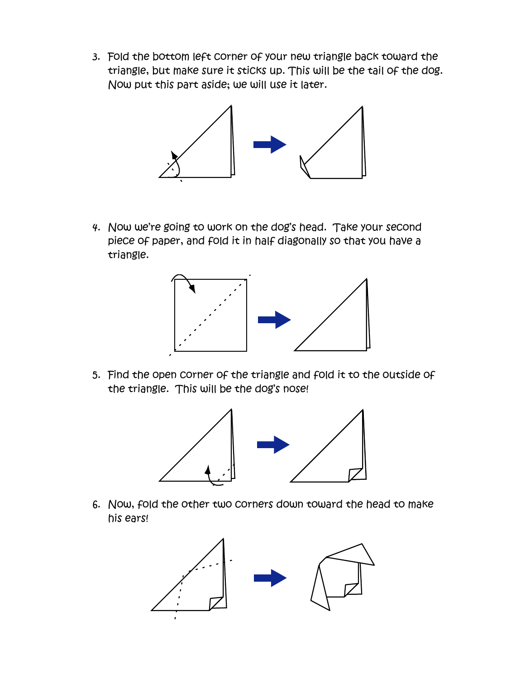3. Fold the bottom left corner of your new triangle back toward the triangle, but make sure it sticks up. This will be the tail of the dog. Now put this part aside; we will use it later.



4. Now we're going to work on the dog's head. Take your second piece of paper, and fold it in half diagonally so that you have a triangle.



5. Find the open corner of the triangle and fold it to the outside of the triangle. This will be the dog's nose!



6. Now, fold the other two corners down toward the head to make his ears!

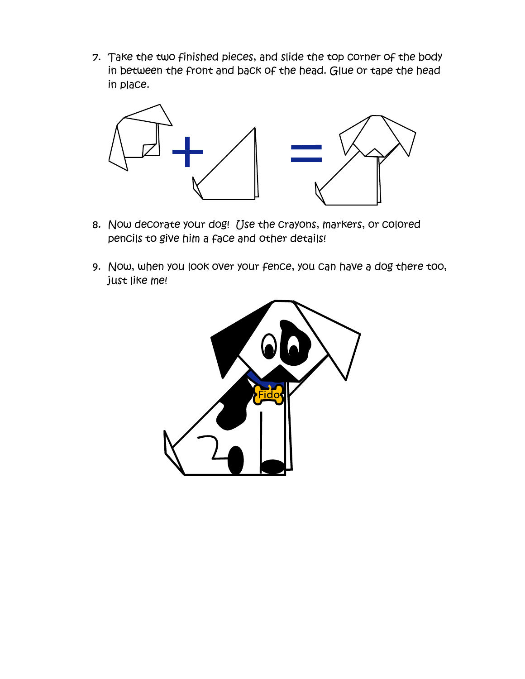7. Take the two finished pieces, and slide the top corner of the body in between the front and back of the head. Glue or tape the head in place.



- 8. Now decorate your dog! Use the crayons, markers, or colored pencils to give him a face and other details!
- 9. Now, when you look over your fence, you can have a dog there too, just like me!